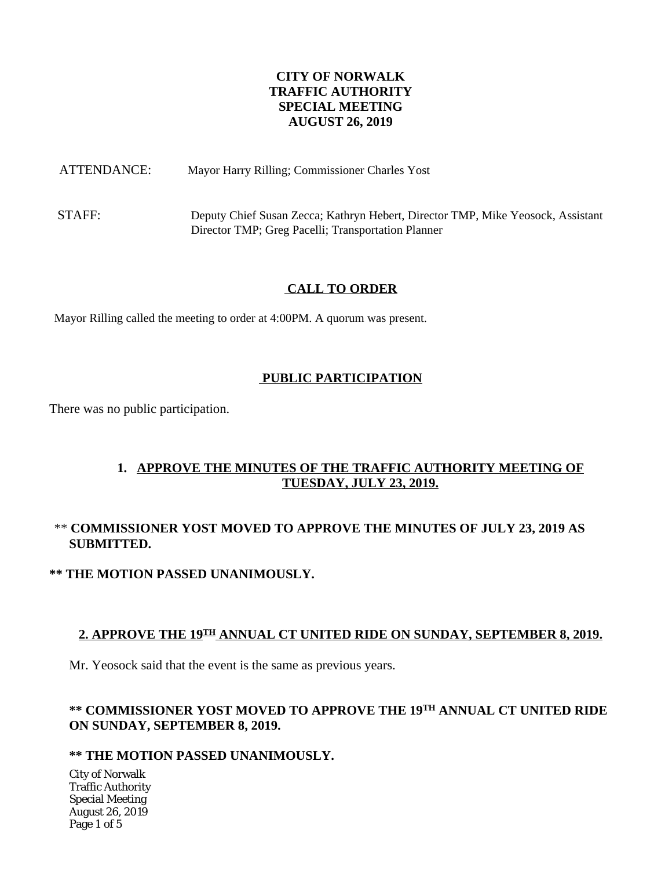## **CITY OF NORWALK TRAFFIC AUTHORITY SPECIAL MEETING AUGUST 26, 2019**

ATTENDANCE: Mayor Harry Rilling; Commissioner Charles Yost

STAFF: Deputy Chief Susan Zecca; Kathryn Hebert, Director TMP, Mike Yeosock, Assistant Director TMP; Greg Pacelli; Transportation Planner

## **CALL TO ORDER**

Mayor Rilling called the meeting to order at 4:00PM. A quorum was present.

## **PUBLIC PARTICIPATION**

There was no public participation.

# **1. APPROVE THE MINUTES OF THE TRAFFIC AUTHORITY MEETING OF TUESDAY, JULY 23, 2019.**

# \*\* **COMMISSIONER YOST MOVED TO APPROVE THE MINUTES OF JULY 23, 2019 AS SUBMITTED.**

## **\*\* THE MOTION PASSED UNANIMOUSLY.**

## **2. APPROVE THE 19TH ANNUAL CT UNITED RIDE ON SUNDAY, SEPTEMBER 8, 2019.**

Mr. Yeosock said that the event is the same as previous years.

# **\*\* COMMISSIONER YOST MOVED TO APPROVE THE 19TH ANNUAL CT UNITED RIDE ON SUNDAY, SEPTEMBER 8, 2019.**

## **\*\* THE MOTION PASSED UNANIMOUSLY.**

City of Norwalk Traffic Authority Special Meeting August 26, 2019 Page 1 of 5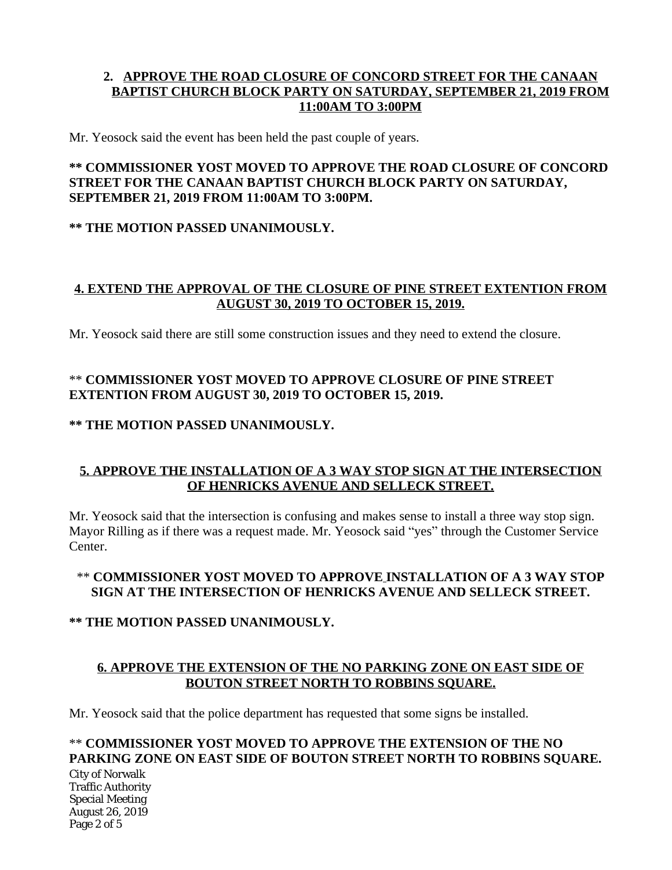# **2. APPROVE THE ROAD CLOSURE OF CONCORD STREET FOR THE CANAAN BAPTIST CHURCH BLOCK PARTY ON SATURDAY, SEPTEMBER 21, 2019 FROM 11:00AM TO 3:00PM**

Mr. Yeosock said the event has been held the past couple of years.

### **\*\* COMMISSIONER YOST MOVED TO APPROVE THE ROAD CLOSURE OF CONCORD STREET FOR THE CANAAN BAPTIST CHURCH BLOCK PARTY ON SATURDAY, SEPTEMBER 21, 2019 FROM 11:00AM TO 3:00PM.**

## **\*\* THE MOTION PASSED UNANIMOUSLY.**

### **4. EXTEND THE APPROVAL OF THE CLOSURE OF PINE STREET EXTENTION FROM AUGUST 30, 2019 TO OCTOBER 15, 2019.**

Mr. Yeosock said there are still some construction issues and they need to extend the closure.

# \*\* **COMMISSIONER YOST MOVED TO APPROVE CLOSURE OF PINE STREET EXTENTION FROM AUGUST 30, 2019 TO OCTOBER 15, 2019.**

## **\*\* THE MOTION PASSED UNANIMOUSLY.**

## **5. APPROVE THE INSTALLATION OF A 3 WAY STOP SIGN AT THE INTERSECTION OF HENRICKS AVENUE AND SELLECK STREET.**

Mr. Yeosock said that the intersection is confusing and makes sense to install a three way stop sign. Mayor Rilling as if there was a request made. Mr. Yeosock said "yes" through the Customer Service Center.

# \*\* **COMMISSIONER YOST MOVED TO APPROVE INSTALLATION OF A 3 WAY STOP SIGN AT THE INTERSECTION OF HENRICKS AVENUE AND SELLECK STREET.**

## **\*\* THE MOTION PASSED UNANIMOUSLY.**

## **6. APPROVE THE EXTENSION OF THE NO PARKING ZONE ON EAST SIDE OF BOUTON STREET NORTH TO ROBBINS SQUARE.**

Mr. Yeosock said that the police department has requested that some signs be installed.

# \*\* **COMMISSIONER YOST MOVED TO APPROVE THE EXTENSION OF THE NO**  PARKING ZONE ON EAST SIDE OF BOUTON STREET NORTH TO ROBBINS SOUARE.

City of Norwalk Traffic Authority Special Meeting August 26, 2019 Page 2 of 5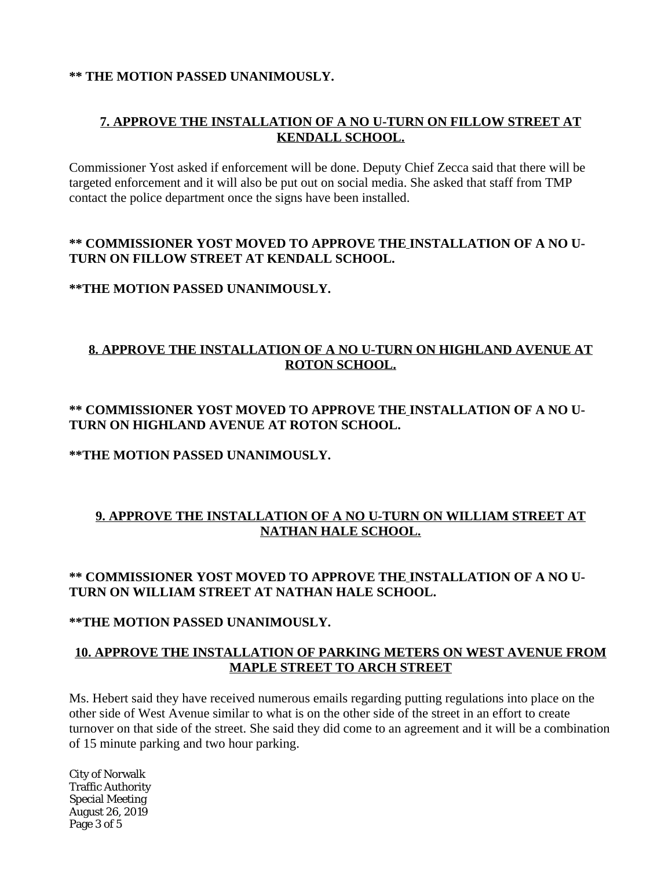### **\*\* THE MOTION PASSED UNANIMOUSLY.**

# **7. APPROVE THE INSTALLATION OF A NO U-TURN ON FILLOW STREET AT KENDALL SCHOOL.**

Commissioner Yost asked if enforcement will be done. Deputy Chief Zecca said that there will be targeted enforcement and it will also be put out on social media. She asked that staff from TMP contact the police department once the signs have been installed.

### **\*\* COMMISSIONER YOST MOVED TO APPROVE THE INSTALLATION OF A NO U-TURN ON FILLOW STREET AT KENDALL SCHOOL.**

## **\*\*THE MOTION PASSED UNANIMOUSLY.**

# **8. APPROVE THE INSTALLATION OF A NO U-TURN ON HIGHLAND AVENUE AT ROTON SCHOOL.**

## **\*\* COMMISSIONER YOST MOVED TO APPROVE THE INSTALLATION OF A NO U-TURN ON HIGHLAND AVENUE AT ROTON SCHOOL.**

### **\*\*THE MOTION PASSED UNANIMOUSLY.**

# **9. APPROVE THE INSTALLATION OF A NO U-TURN ON WILLIAM STREET AT NATHAN HALE SCHOOL.**

# **\*\* COMMISSIONER YOST MOVED TO APPROVE THE INSTALLATION OF A NO U-TURN ON WILLIAM STREET AT NATHAN HALE SCHOOL.**

#### **\*\*THE MOTION PASSED UNANIMOUSLY.**

## **10. APPROVE THE INSTALLATION OF PARKING METERS ON WEST AVENUE FROM MAPLE STREET TO ARCH STREET**

Ms. Hebert said they have received numerous emails regarding putting regulations into place on the other side of West Avenue similar to what is on the other side of the street in an effort to create turnover on that side of the street. She said they did come to an agreement and it will be a combination of 15 minute parking and two hour parking.

City of Norwalk Traffic Authority Special Meeting August 26, 2019 Page 3 of 5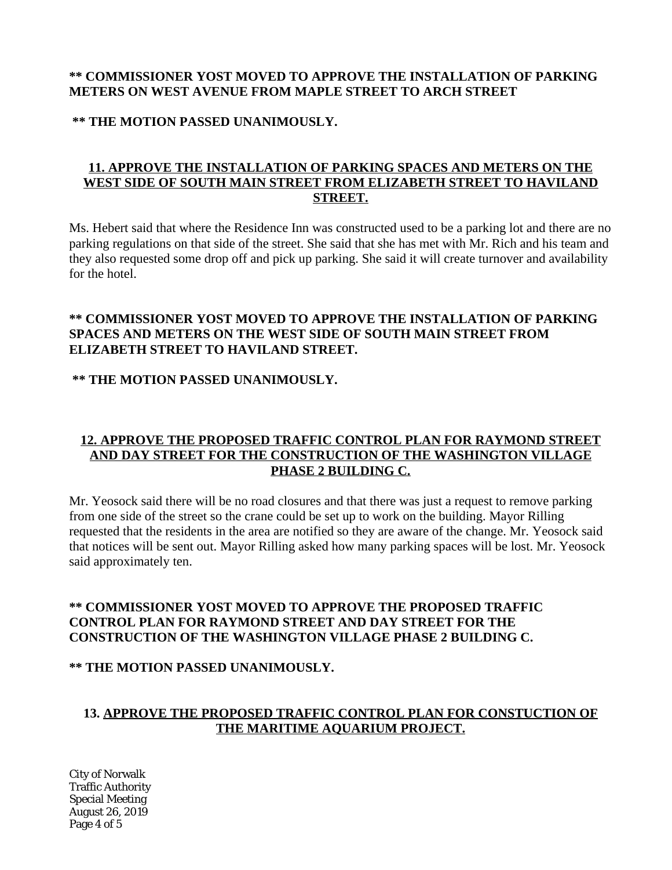# **\*\* COMMISSIONER YOST MOVED TO APPROVE THE INSTALLATION OF PARKING METERS ON WEST AVENUE FROM MAPLE STREET TO ARCH STREET**

### **\*\* THE MOTION PASSED UNANIMOUSLY.**

## **11. APPROVE THE INSTALLATION OF PARKING SPACES AND METERS ON THE WEST SIDE OF SOUTH MAIN STREET FROM ELIZABETH STREET TO HAVILAND STREET.**

Ms. Hebert said that where the Residence Inn was constructed used to be a parking lot and there are no parking regulations on that side of the street. She said that she has met with Mr. Rich and his team and they also requested some drop off and pick up parking. She said it will create turnover and availability for the hotel.

### **\*\* COMMISSIONER YOST MOVED TO APPROVE THE INSTALLATION OF PARKING SPACES AND METERS ON THE WEST SIDE OF SOUTH MAIN STREET FROM ELIZABETH STREET TO HAVILAND STREET.**

## **\*\* THE MOTION PASSED UNANIMOUSLY.**

## **12. APPROVE THE PROPOSED TRAFFIC CONTROL PLAN FOR RAYMOND STREET AND DAY STREET FOR THE CONSTRUCTION OF THE WASHINGTON VILLAGE PHASE 2 BUILDING C.**

Mr. Yeosock said there will be no road closures and that there was just a request to remove parking from one side of the street so the crane could be set up to work on the building. Mayor Rilling requested that the residents in the area are notified so they are aware of the change. Mr. Yeosock said that notices will be sent out. Mayor Rilling asked how many parking spaces will be lost. Mr. Yeosock said approximately ten.

## **\*\* COMMISSIONER YOST MOVED TO APPROVE THE PROPOSED TRAFFIC CONTROL PLAN FOR RAYMOND STREET AND DAY STREET FOR THE CONSTRUCTION OF THE WASHINGTON VILLAGE PHASE 2 BUILDING C.**

#### **\*\* THE MOTION PASSED UNANIMOUSLY.**

## **13. APPROVE THE PROPOSED TRAFFIC CONTROL PLAN FOR CONSTUCTION OF THE MARITIME AQUARIUM PROJECT.**

City of Norwalk Traffic Authority Special Meeting August 26, 2019 Page 4 of 5